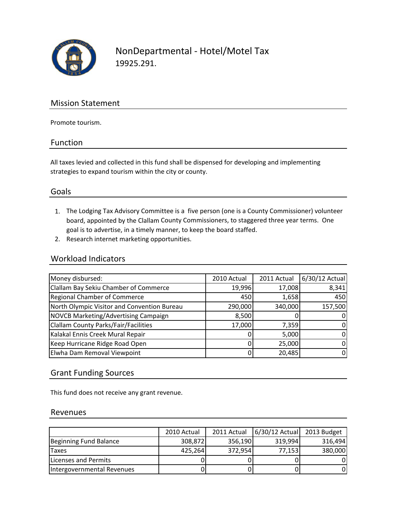

NonDepartmental ‐ Hotel/Motel Tax 19925.291.

### Mission Statement

Promote tourism.

#### Function

All taxes levied and collected in this fund shall be dispensed for developing and implementing strategies to expand tourism within the city or county.

#### Goals

- 1. The Lodging Tax Advisory Committee is a five person (one is a County Commissioner) volunteer board, appointed by the Clallam County Commissioners, to staggered three year terms. One goal is to advertise, in a timely manner, to keep the board staffed.
- 2. Research internet marketing opportunities.

#### Workload Indicators

| Money disbursed:                            | 2010 Actual | 2011 Actual | 6/30/12 Actual |
|---------------------------------------------|-------------|-------------|----------------|
| Clallam Bay Sekiu Chamber of Commerce       | 19,996      | 17,008      | 8,341          |
| Regional Chamber of Commerce                | 450         | 1,658       | 450            |
| North Olympic Visitor and Convention Bureau | 290,000     | 340,000     | 157,500        |
| NOVCB Marketing/Advertising Campaign        | 8,500       |             | 0              |
| <b>Clallam County Parks/Fair/Facilities</b> | 17,000      | 7,359       | 0              |
| Kalakal Ennis Creek Mural Repair            |             | 5,000       | $\Omega$       |
| Keep Hurricane Ridge Road Open              |             | 25,000      | $\Omega$       |
| Elwha Dam Removal Viewpoint                 |             | 20,485      | 0              |

#### Grant Funding Sources

This fund does not receive any grant revenue.

#### Revenues

|                            | 2010 Actual | 2011 Actual | $6/30/12$ Actual | 2013 Budget |
|----------------------------|-------------|-------------|------------------|-------------|
| Beginning Fund Balance     | 308,872     | 356,190     | 319,994          | 316,494     |
| Taxes                      | 425,264     | 372,954     | 77,153           | 380,000     |
| Licenses and Permits       |             |             |                  | 0           |
| Intergovernmental Revenues |             |             |                  | 0           |